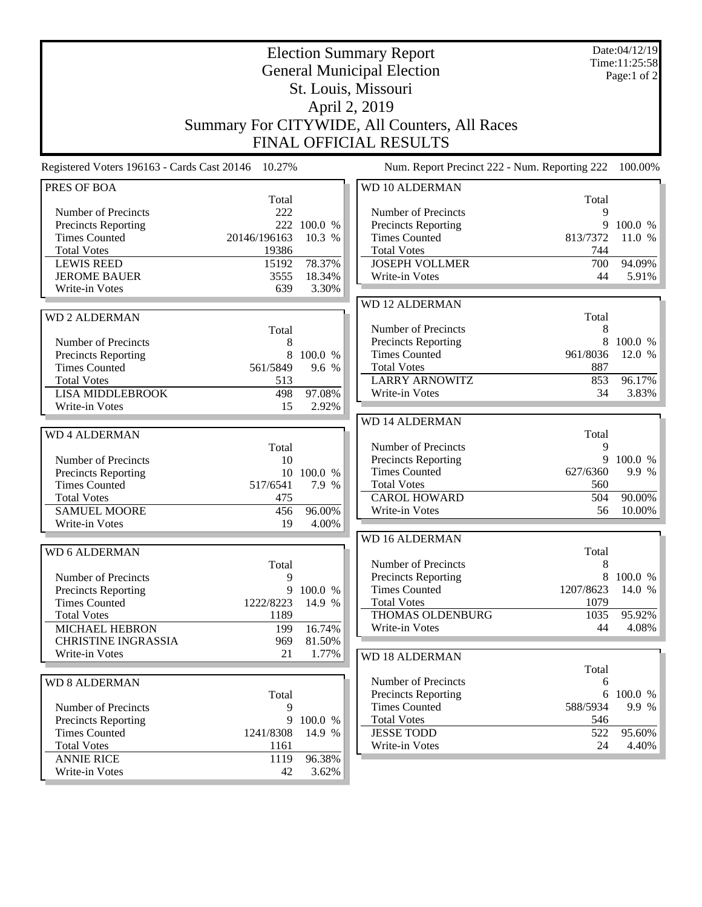| <b>Election Summary Report</b><br><b>General Municipal Election</b><br>St. Louis, Missouri<br>April 2, 2019                                         |                                                        |                                           |                                                                                                                                                              |                                            | Date:04/12/19<br>Time:11:25:58<br>Page:1 of 2 |  |
|-----------------------------------------------------------------------------------------------------------------------------------------------------|--------------------------------------------------------|-------------------------------------------|--------------------------------------------------------------------------------------------------------------------------------------------------------------|--------------------------------------------|-----------------------------------------------|--|
|                                                                                                                                                     |                                                        |                                           | Summary For CITYWIDE, All Counters, All Races<br><b>FINAL OFFICIAL RESULTS</b>                                                                               |                                            |                                               |  |
| Registered Voters 196163 - Cards Cast 20146                                                                                                         | 10.27%                                                 |                                           | Num. Report Precinct 222 - Num. Reporting 222                                                                                                                |                                            | 100.00%                                       |  |
| PRES OF BOA<br>Number of Precincts<br>Precincts Reporting<br><b>Times Counted</b><br><b>Total Votes</b><br><b>LEWIS REED</b><br><b>JEROME BAUER</b> | Total<br>222<br>20146/196163<br>19386<br>15192<br>3555 | 222 100.0 %<br>10.3 %<br>78.37%<br>18.34% | <b>WD 10 ALDERMAN</b><br>Number of Precincts<br>Precincts Reporting<br><b>Times Counted</b><br><b>Total Votes</b><br><b>JOSEPH VOLLMER</b><br>Write-in Votes | Total<br>9<br>813/7372<br>744<br>700<br>44 | 9 100.0 %<br>11.0 %<br>94.09%<br>5.91%        |  |
| Write-in Votes<br><b>WD2 ALDERMAN</b>                                                                                                               | 639                                                    | 3.30%                                     | <b>WD 12 ALDERMAN</b>                                                                                                                                        | Total                                      |                                               |  |
| Number of Precincts<br>Precincts Reporting<br><b>Times Counted</b><br><b>Total Votes</b><br><b>LISA MIDDLEBROOK</b><br>Write-in Votes               | Total<br>8<br>8<br>561/5849<br>513<br>498<br>15        | 100.0 %<br>9.6 %<br>97.08%<br>2.92%       | Number of Precincts<br>Precincts Reporting<br><b>Times Counted</b><br><b>Total Votes</b><br><b>LARRY ARNOWITZ</b><br>Write-in Votes                          | 8<br>961/8036<br>887<br>853<br>34          | 8 100.0 %<br>12.0 %<br>96.17%<br>3.83%        |  |
| <b>WD4 ALDERMAN</b>                                                                                                                                 | Total                                                  |                                           | <b>WD 14 ALDERMAN</b><br>Number of Precincts                                                                                                                 | Total<br>9                                 |                                               |  |
| Number of Precincts<br>Precincts Reporting<br><b>Times Counted</b><br><b>Total Votes</b>                                                            | 10<br>517/6541<br>475                                  | 10 100.0 %<br>7.9 %                       | <b>Precincts Reporting</b><br><b>Times Counted</b><br><b>Total Votes</b><br><b>CAROL HOWARD</b>                                                              | 627/6360<br>560<br>504                     | 9 100.0 %<br>9.9 %<br>90.00%                  |  |
| <b>SAMUEL MOORE</b><br>Write-in Votes                                                                                                               | 456<br>19                                              | 96.00%<br>4.00%                           | Write-in Votes                                                                                                                                               | 56                                         | 10.00%                                        |  |
| <b>WD 6 ALDERMAN</b>                                                                                                                                | Total                                                  |                                           | <b>WD 16 ALDERMAN</b><br>Number of Precincts                                                                                                                 | Total<br>8                                 |                                               |  |
| Number of Precincts<br><b>Precincts Reporting</b><br><b>Times Counted</b>                                                                           | 9<br>9<br>1222/8223                                    | 100.0 %<br>14.9 %                         | <b>Precincts Reporting</b><br><b>Times Counted</b><br><b>Total Votes</b>                                                                                     | 8<br>1207/8623<br>1079                     | 100.0 %<br>14.0 %                             |  |
| <b>Total Votes</b><br><b>MICHAEL HEBRON</b><br><b>CHRISTINE INGRASSIA</b><br>Write-in Votes                                                         | 1189<br>199<br>969<br>21                               | 16.74%<br>81.50%<br>1.77%                 | THOMAS OLDENBURG<br>Write-in Votes<br><b>WD 18 ALDERMAN</b>                                                                                                  | 1035<br>44                                 | 95.92%<br>4.08%                               |  |
| <b>WD 8 ALDERMAN</b><br>Number of Precincts<br>Precincts Reporting                                                                                  | Total<br>9                                             | 9 100.0 %                                 | Number of Precincts<br>Precincts Reporting<br><b>Times Counted</b><br><b>Total Votes</b>                                                                     | Total<br>6<br>588/5934<br>546              | 6 100.0 %<br>9.9 %                            |  |
| <b>Times Counted</b><br><b>Total Votes</b><br><b>ANNIE RICE</b>                                                                                     | 1241/8308<br>1161<br>1119                              | 14.9 %<br>96.38%                          | <b>JESSE TODD</b><br>Write-in Votes                                                                                                                          | 522<br>24                                  | 95.60%<br>4.40%                               |  |
| Write-in Votes                                                                                                                                      | 42                                                     | 3.62%                                     |                                                                                                                                                              |                                            |                                               |  |